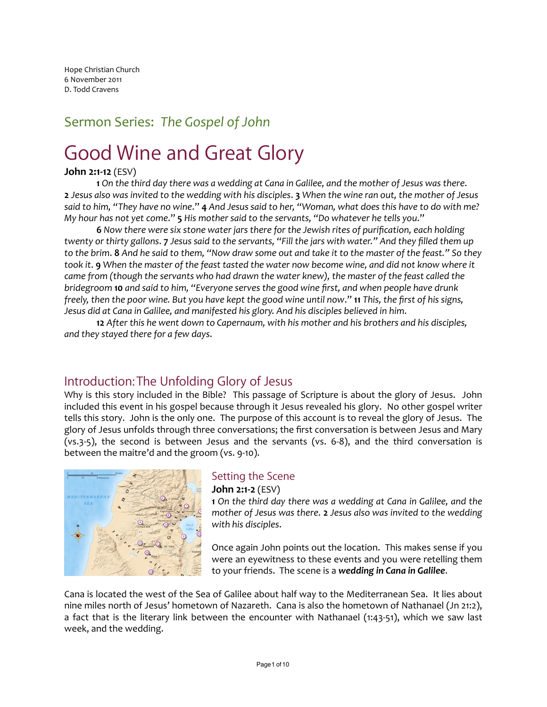Hope Christian Church 6 November 2011 D. Todd Cravens

# Sermon Series: The Gospel of John

# Good Wine and Great Glory

## **John 2:1-12** (ESV)

**1** On the third day there was a wedding at Cana in Galilee, and the mother of Jesus was there. **2** Jesus also was invited to the wedding with his disciples. **3** When the wine ran out, the mother of Jesus said to him, "They have no wine." 4 And Jesus said to her, "Woman, what does this have to do with me? *My* hour has not yet come." **5** His mother said to the servants, "Do whatever he tells you."

**6** Now there were six stone water jars there for the Jewish rites of purification, each holding *twenty* or thirty gallons. **7** Jesus said to the servants, "Fill the jars with water." And they filled them up to the brim. **8** And he said to them, "Now draw some out and take it to the master of the feast." So they *took* it. 9 When the master of the feast tasted the water now become wine, and did not know where it *came from* (though the servants who had drawn the water knew), the master of the feast called the *bridegroom* **10** and said to him, "Everyone serves the good wine first, and when people have drunk *freely, then the poor wine.* But you have kept the good wine until now." **11** This, the first of his signs, *Jesus did at Cana in Galilee, and manifested his glory. And his disciples believed in him*.

**12** After this he went down to Capernaum, with his mother and his brothers and his disciples, *and they stayed there for a few days*.

# Introduction: The Unfolding Glory of Jesus

Why is this story included in the Bible? This passage of Scripture is about the glory of Jesus. John included this event in his gospel because through it Jesus revealed his glory. No other gospel writer tells this story. John is the only one. The purpose of this account is to reveal the glory of Jesus. The glory of Jesus unfolds through three conversations; the first conversation is between Jesus and Mary (vs.3-5), the second is between Jesus and the servants (vs. 6-8), and the third conversation is between the maitre'd and the groom (vs. 9-10).



# Setting the Scene

## **John 2:1-2** (ESV)

**1** On the third day there was a wedding at Cana in Galilee, and the *mother of Jesus was there.* 2 *Jesus also was invited to the wedding with his disciples*.

Once again John points out the location. This makes sense if you were an eyewitness to these events and you were retelling them to your friends. The scene is a wedding in Cana in Galilee.

Cana is located the west of the Sea of Galilee about half way to the Mediterranean Sea. It lies about nine miles north of Jesus' hometown of Nazareth. Cana is also the hometown of Nathanael (Jn 21:2), a fact that is the literary link between the encounter with Nathanael  $(1:43-51)$ , which we saw last week, and the wedding.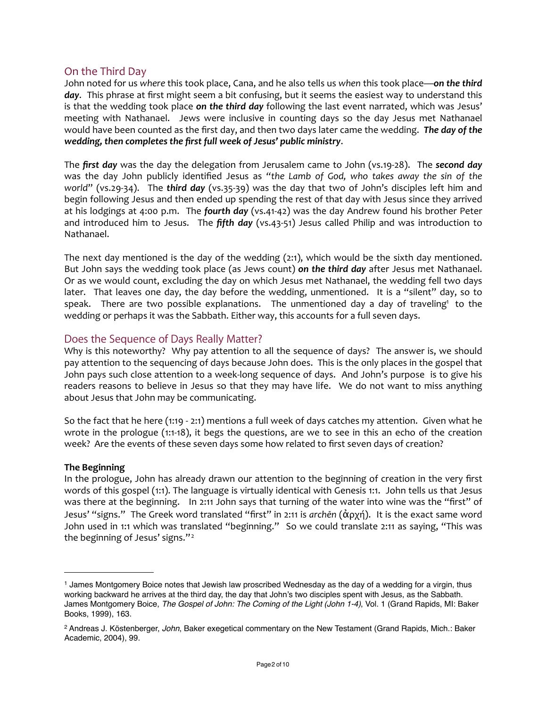## On the Third Day

John noted for us where this took place, Cana, and he also tells us when this took place—on the third day. This phrase at first might seem a bit confusing, but it seems the easiest way to understand this is that the wedding took place on the third day following the last event narrated, which was Jesus' meeting with Nathanael. Jews were inclusive in counting days so the day Jesus met Nathanael would have been counted as the first day, and then two days later came the wedding. **The day of the** wedding, then completes the first full week of Jesus' public ministry.

The *first day* was the day the delegation from Jerusalem came to John (vs.19-28). The **second day** was the day John publicly identified Jesus as "the Lamb of God, who takes away the sin of the *world*" (vs.29-34). The *third day* (vs.35-39) was the day that two of John's disciples left him and begin following Jesus and then ended up spending the rest of that day with Jesus since they arrived at his lodgings at 4:00 p.m. The *fourth day* (vs.41-42) was the day Andrew found his brother Peter and introduced him to Jesus. The *fifth day* (vs.43-51) Jesus called Philip and was introduction to Nathanael. 

The next day mentioned is the day of the wedding  $(2:1)$ , which would be the sixth day mentioned. But John says the wedding took place (as Jews count) on the third day after Jesus met Nathanael. Or as we would count, excluding the day on which Jesus met Nathanael, the wedding fell two days later. That leaves one day, the day before the wedding, unmentioned. It is a "silent" day, so to speak. There are two possible explanations. The unmentioned day a day of traveling<sup>1</sup> to the wedding or perhaps it was the Sabbath. Either way, this accounts for a full seven days.

## Does the Sequence of Days Really Matter?

Why is this noteworthy? Why pay attention to all the sequence of days? The answer is, we should pay attention to the sequencing of days because John does. This is the only places in the gospel that John pays such close attention to a week-long sequence of days. And John's purpose is to give his readers reasons to believe in Jesus so that they may have life. We do not want to miss anything about Jesus that John may be communicating.

So the fact that he here  $(1:19 - 2:1)$  mentions a full week of days catches my attention. Given what he wrote in the prologue  $(1:1-18)$ , it begs the questions, are we to see in this an echo of the creation week? Are the events of these seven days some how related to first seven days of creation?

## **The Beginning**

In the prologue, John has already drawn our attention to the beginning of creation in the very first words of this gospel (1:1). The language is virtually identical with Genesis 1:1. John tells us that Jesus was there at the beginning. In 2:11 John says that turning of the water into wine was the "first" of Jesus' "signs." The Greek word translated "first" in 2:11 is *archēn* (ἀρχή). It is the exact same word John used in 1:1 which was translated "beginning." So we could translate 2:11 as saying, "This was the beginning of Jesus' signs." $2^2$  $2^2$ 

<span id="page-1-0"></span><sup>1</sup> James Montgomery Boice notes that Jewish law proscribed Wednesday as the day of a wedding for a virgin, thus working backward he arrives at the third day, the day that John's two disciples spent with Jesus, as the Sabbath. James Montgomery Boice, *The Gospel of John: The Coming of the Light (John 1-4)*, Vol. 1 (Grand Rapids, MI: Baker Books, 1999), 163.

<span id="page-1-1"></span><sup>2</sup> Andreas J. Köstenberger, *John*, Baker exegetical commentary on the New Testament (Grand Rapids, Mich.: Baker Academic, 2004), 99.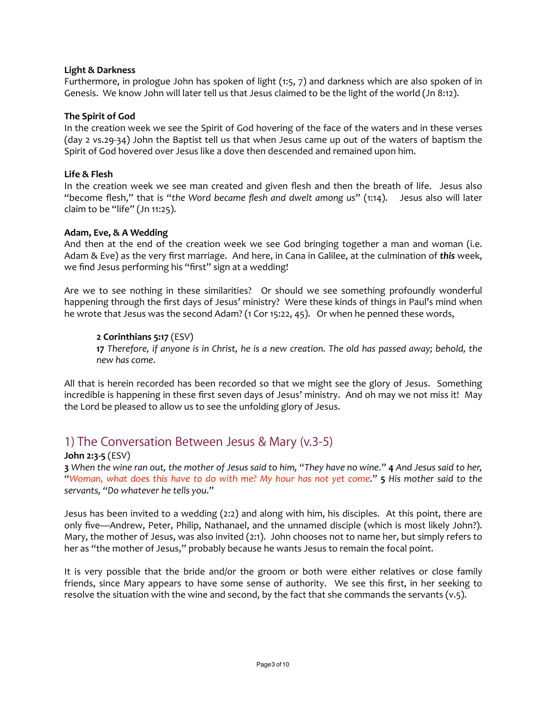## **Light & Darkness**

Furthermore, in prologue John has spoken of light  $(1:5, 7)$  and darkness which are also spoken of in Genesis. We know John will later tell us that Jesus claimed to be the light of the world (Jn 8:12).

## **The Spirit of God**

In the creation week we see the Spirit of God hovering of the face of the waters and in these verses (day 2 vs.29-34) John the Baptist tell us that when Jesus came up out of the waters of baptism the Spirit of God hovered over Jesus like a dove then descended and remained upon him.

## **Life & Flesh**

In the creation week we see man created and given flesh and then the breath of life. Jesus also "become flesh," that is "the Word became flesh and dwelt among us" (1:14). Jesus also will later claim to be "life"  $($  Jn  $11:25$ ).

## Adam, Eve, & A Wedding

And then at the end of the creation week we see God bringing together a man and woman (i.e. Adam & Eve) as the very first marriage. And here, in Cana in Galilee, at the culmination of this week, we find Jesus performing his "first" sign at a wedding!

Are we to see nothing in these similarities? Or should we see something profoundly wonderful happening through the first days of Jesus' ministry? Were these kinds of things in Paul's mind when he wrote that Jesus was the second Adam? (1 Cor 15:22, 45). Or when he penned these words,

## **2 Corinthians 5:17** (ESV)

**17** Therefore, if anyone is in Christ, he is a new creation. The old has passed away; behold, the *new has come*.

All that is herein recorded has been recorded so that we might see the glory of Jesus. Something incredible is happening in these first seven days of Jesus' ministry. And oh may we not miss it! May the Lord be pleased to allow us to see the unfolding glory of Jesus.

## 1) The Conversation Between Jesus & Mary (v.3-5)

## **John 2:3-5** (ESV)

**3** When the wine ran out, the mother of Jesus said to him, "They have no wine." **4** And Jesus said to her, *"Woman, what does this have to do with me? My hour has not yet come."* **5** His mother said to the servants, "Do whatever he tells you."

Jesus has been invited to a wedding  $(2:2)$  and along with him, his disciples. At this point, there are only five—Andrew, Peter, Philip, Nathanael, and the unnamed disciple (which is most likely John?). Mary, the mother of Jesus, was also invited  $(2:1)$ . John chooses not to name her, but simply refers to her as "the mother of Jesus," probably because he wants Jesus to remain the focal point.

It is very possible that the bride and/or the groom or both were either relatives or close family friends, since Mary appears to have some sense of authority. We see this first, in her seeking to resolve the situation with the wine and second, by the fact that she commands the servants  $(v.5)$ .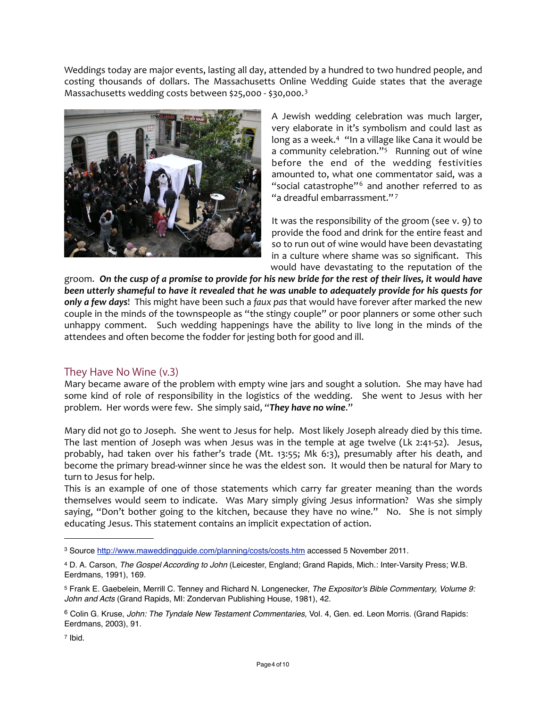Weddings today are major events, lasting all day, attended by a hundred to two hundred people, and costing thousands of dollars. The Massachusetts Online Wedding Guide states that the average Massachusetts wedding costs between \$25,000 - \$[3](#page-3-0)0,000.<sup>3</sup>



A Jewish wedding celebration was much larger, very elaborate in it's symbolism and could last as long as a week.<sup>4</sup> "In a village like Cana it would be a community celebration." $5$  Running out of wine before the end of the wedding festivities amounted to, what one commentator said, was a "social catastrophe"<sup>[6](#page-3-3)</sup> and another referred to as "a dreadful embarrassment." $7$ 

It was the responsibility of the groom (see  $v.$  9) to provide the food and drink for the entire feast and so to run out of wine would have been devastating in a culture where shame was so significant. This would have devastating to the reputation of the

groom. On the cusp of a promise to provide for his new bride for the rest of their lives, it would have *been* utterly shameful to have it revealed that he was unable to adequately provide for his quests for only a few days! This might have been such a faux pas that would have forever after marked the new couple in the minds of the townspeople as "the stingy couple" or poor planners or some other such unhappy comment. Such wedding happenings have the ability to live long in the minds of the attendees and often become the fodder for jesting both for good and ill.

## They Have No Wine (v.3)

Mary became aware of the problem with empty wine jars and sought a solution. She may have had some kind of role of responsibility in the logistics of the wedding. She went to Jesus with her problem. Her words were few. She simply said, "They have no wine."

Mary did not go to Joseph. She went to Jesus for help. Most likely Joseph already died by this time. The last mention of Joseph was when Jesus was in the temple at age twelve (Lk 2:41-52). Jesus, probably, had taken over his father's trade (Mt. 13:55; Mk 6:3), presumably after his death, and become the primary bread-winner since he was the eldest son. It would then be natural for Mary to turn to Jesus for help.

This is an example of one of those statements which carry far greater meaning than the words themselves would seem to indicate. Was Mary simply giving Jesus information? Was she simply saying, "Don't bother going to the kitchen, because they have no wine." No. She is not simply educating Jesus. This statement contains an implicit expectation of action.

<span id="page-3-4"></span>7 Ibid.

<span id="page-3-0"></span><sup>3</sup> Source <http://www.maweddingguide.com/planning/costs/costs.htm> accessed 5 November 2011.

<span id="page-3-1"></span><sup>4</sup> D. A. Carson, *The Gospel According to John* (Leicester, England; Grand Rapids, Mich.: Inter-Varsity Press; W.B. Eerdmans, 1991), 169.

<span id="page-3-2"></span><sup>5</sup> Frank E. Gaebelein, Merrill C. Tenney and Richard N. Longenecker, *The Expositor's Bible Commentary, Volume 9: John and Acts* (Grand Rapids, MI: Zondervan Publishing House, 1981), 42.

<span id="page-3-3"></span><sup>6</sup> Colin G. Kruse, *John: The Tyndale New Testament Commentaries*, Vol. 4, Gen. ed. Leon Morris. (Grand Rapids: Eerdmans, 2003), 91.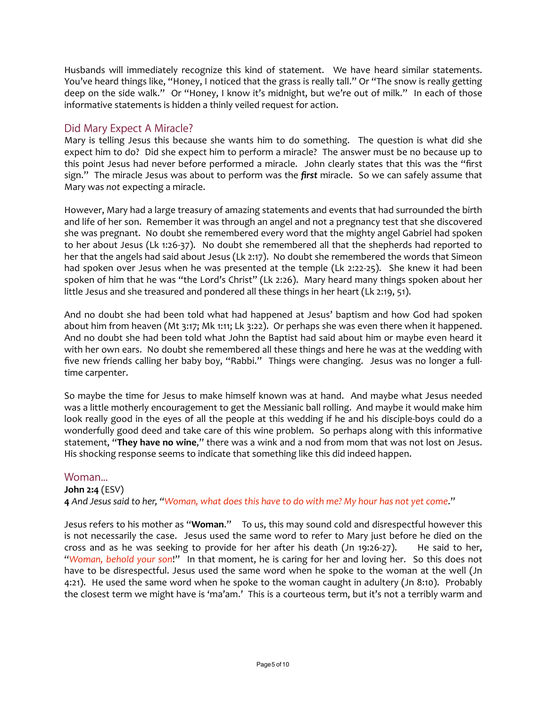Husbands will immediately recognize this kind of statement. We have heard similar statements. You've heard things like, "Honey, I noticed that the grass is really tall." Or "The snow is really getting deep on the side walk." Or "Honey, I know it's midnight, but we're out of milk." In each of those informative statements is hidden a thinly veiled request for action.

## Did Mary Expect A Miracle?

Mary is telling Jesus this because she wants him to do something. The question is what did she expect him to do? Did she expect him to perform a miracle? The answer must be no because up to this point Jesus had never before performed a miracle. John clearly states that this was the "first sign." The miracle Jesus was about to perform was the *first* miracle. So we can safely assume that Mary was not expecting a miracle.

However, Mary had a large treasury of amazing statements and events that had surrounded the birth and life of her son. Remember it was through an angel and not a pregnancy test that she discovered she was pregnant. No doubt she remembered every word that the mighty angel Gabriel had spoken to her about Jesus (Lk 1:26-37). No doubt she remembered all that the shepherds had reported to her that the angels had said about Jesus (Lk 2:17). No doubt she remembered the words that Simeon had spoken over Jesus when he was presented at the temple (Lk 2:22-25). She knew it had been spoken of him that he was "the Lord's Christ" (Lk 2:26). Mary heard many things spoken about her little Jesus and she treasured and pondered all these things in her heart (Lk 2:19, 51).

And no doubt she had been told what had happened at Jesus' baptism and how God had spoken about him from heaven (Mt 3:17; Mk 1:11; Lk 3:22). Or perhaps she was even there when it happened. And no doubt she had been told what John the Baptist had said about him or maybe even heard it with her own ears. No doubt she remembered all these things and here he was at the wedding with five new friends calling her baby boy, "Rabbi." Things were changing. Jesus was no longer a fulltime carpenter.

So maybe the time for Jesus to make himself known was at hand. And maybe what Jesus needed was a little motherly encouragement to get the Messianic ball rolling. And maybe it would make him look really good in the eyes of all the people at this wedding if he and his disciple-boys could do a wonderfully good deed and take care of this wine problem. So perhaps along with this informative statement, "They have no wine," there was a wink and a nod from mom that was not lost on Jesus. His shocking response seems to indicate that something like this did indeed happen.

## Woman...

## **John 2:4** (ESV)

4 And Jesus said to her, "Woman, what does this have to do with me? My hour has not yet come."

Jesus refers to his mother as "Woman." To us, this may sound cold and disrespectful however this is not necessarily the case. Jesus used the same word to refer to Mary just before he died on the cross and as he was seeking to provide for her after his death (Jn 19:26-27). He said to her, "Woman, behold your son!" In that moment, he is caring for her and loving her. So this does not have to be disrespectful. Jesus used the same word when he spoke to the woman at the well (Jn 4:21). He used the same word when he spoke to the woman caught in adultery (Jn 8:10). Probably the closest term we might have is 'ma'am.' This is a courteous term, but it's not a terribly warm and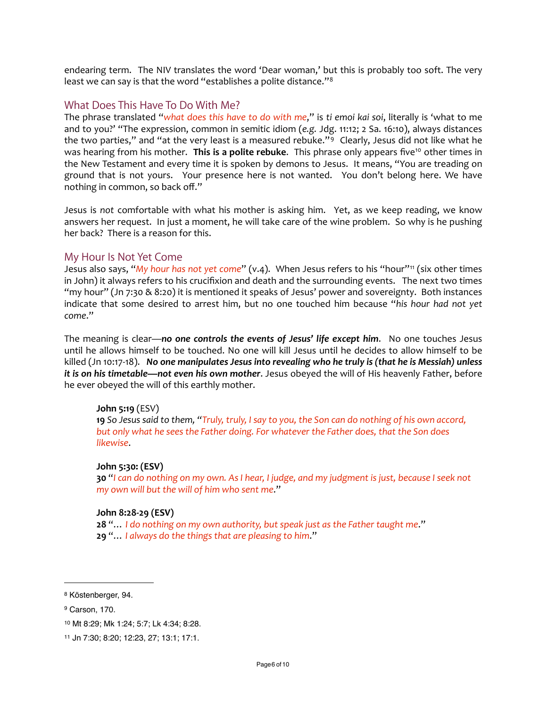endearing term. The NIV translates the word 'Dear woman,' but this is probably too soft. The very least we can say is that the word "establishes a polite distance."<sup>[8](#page-5-0)</sup>

## What Does This Have To Do With Me?

The phrase translated "*what does this have to do with me*," is ti emoi kai soi, literally is 'what to me and to you?' "The expression, common in semitic idiom (e.g. Jdg. 11:12; 2 Sa. 16:10), always distances the two parties," and "at the very least is a measured rebuke."<sup>[9](#page-5-1)</sup> Clearly, Jesus did not like what he was hearing from his mother. This is a polite rebuke. This phrase only appears five<sup>[10](#page-5-2)</sup> other times in the New Testament and every time it is spoken by demons to Jesus. It means, "You are treading on ground that is not yours. Your presence here is not wanted. You don't belong here. We have nothing in common, so back off."

Jesus is not comfortable with what his mother is asking him. Yet, as we keep reading, we know answers her request. In just a moment, he will take care of the wine problem. So why is he pushing her back? There is a reason for this.

## My Hour Is Not Yet Come

Jesus also says, "*My hour has not yet come*" (v.4). When Jesus refers to his "hour"<sup>[11](#page-5-3)</sup> (six other times in John) it always refers to his crucifixion and death and the surrounding events. The next two times "my hour" (Jn 7:30  $\&$  8:20) it is mentioned it speaks of Jesus' power and sovereignty. Both instances indicate that some desired to arrest him, but no one touched him because "his hour had not yet *come*." 

The meaning is clear-no one controls the events of Jesus' life except him. No one touches Jesus until he allows himself to be touched. No one will kill Jesus until he decides to allow himself to be killed (Jn 10:17-18). No one manipulates Jesus into revealing who he truly is (that he is Messiah) unless *it is* on his timetable—not even his own mother. Jesus obeyed the will of His heavenly Father, before he ever obeyed the will of this earthly mother.

## **John 5:19** (ESV)

**19** So Jesus said to them, "Truly, truly, I say to you, the Son can do nothing of his own accord, but only what he sees the Father doing. For whatever the Father does, that the Son does *likewise*.

## **John 5:30: (ESV)**

**30** "*I* can do nothing on my own. As I hear, I judge, and my judgment is just, because I seek not *my* own will but the will of him who sent me."

#### **John 8:28-29 (ESV)**

**28** "... I do nothing on my own authority, but speak just as the Father taught me." **29** "... I always do the things that are pleasing to him."

<span id="page-5-0"></span><sup>8</sup> Köstenberger, 94.

<span id="page-5-1"></span><sup>9</sup> Carson, 170.

<span id="page-5-2"></span><sup>10</sup> Mt 8:29; Mk 1:24; 5:7; Lk 4:34; 8:28.

<span id="page-5-3"></span><sup>11</sup> Jn 7:30; 8:20; 12:23, 27; 13:1; 17:1.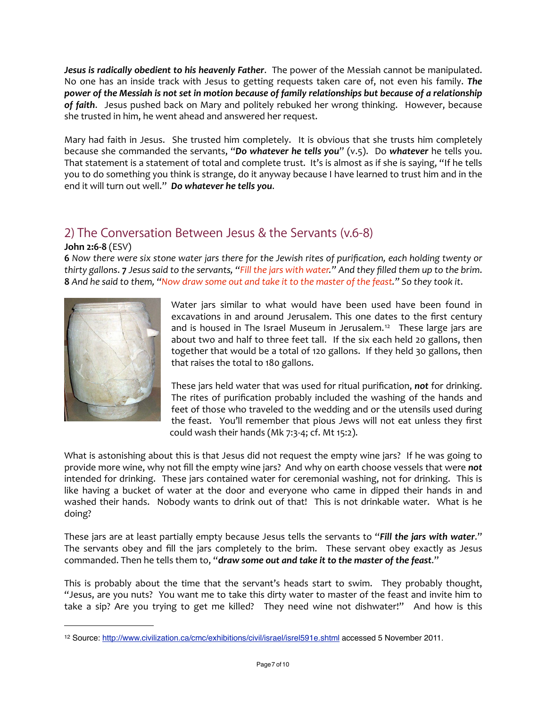**Jesus is radically obedient to his heavenly Father.** The power of the Messiah cannot be manipulated. No one has an inside track with Jesus to getting requests taken care of, not even his family. The power of the Messiah is not set in motion because of family relationships but because of a relationship of faith. Jesus pushed back on Mary and politely rebuked her wrong thinking. However, because she trusted in him, he went ahead and answered her request.

Mary had faith in Jesus. She trusted him completely. It is obvious that she trusts him completely because she commanded the servants, "Do whatever he tells you" (v.5). Do whatever he tells you. That statement is a statement of total and complete trust. It's is almost as if she is saying, "If he tells you to do something you think is strange, do it anyway because I have learned to trust him and in the end it will turn out well." Do whatever he tells you.

# 2) The Conversation Between Jesus & the Servants (v.6-8)

## **John 2:6-8** (ESV)

**6** Now there were six stone water jars there for the Jewish rites of purification, each holding twenty or *thirty* gallons. **7** *Jesus said to the servants,* "Fill the jars with water." And they filled them up to the brim. **8** And he said to them, "Now draw some out and take it to the master of the feast." So they took it.



Water jars similar to what would have been used have been found in excavations in and around Jerusalem. This one dates to the first century and is housed in The Israel Museum in Jerusalem.<sup>[12](#page-6-0)</sup> These large jars are about two and half to three feet tall. If the six each held 20 gallons, then together that would be a total of 120 gallons. If they held 30 gallons, then that raises the total to 180 gallons.

These jars held water that was used for ritual purification, not for drinking. The rites of purification probably included the washing of the hands and feet of those who traveled to the wedding and or the utensils used during the feast. You'll remember that pious Jews will not eat unless they first could wash their hands (Mk  $7:3-4$ ; cf. Mt  $15:2$ ).

What is astonishing about this is that Jesus did not request the empty wine jars? If he was going to provide more wine, why not fill the empty wine jars? And why on earth choose vessels that were **not** intended for drinking. These jars contained water for ceremonial washing, not for drinking. This is like having a bucket of water at the door and everyone who came in dipped their hands in and washed their hands. Nobody wants to drink out of that! This is not drinkable water. What is he doing?

These jars are at least partially empty because Jesus tells the servants to "*Fill the jars with water.*" The servants obey and fill the jars completely to the brim. These servant obey exactly as Jesus commanded. Then he tells them to, "draw some out and take it to the master of the feast."

This is probably about the time that the servant's heads start to swim. They probably thought, "Jesus, are you nuts? You want me to take this dirty water to master of the feast and invite him to take a sip? Are you trying to get me killed? They need wine not dishwater!" And how is this

<span id="page-6-0"></span><sup>12</sup> Source: <http://www.civilization.ca/cmc/exhibitions/civil/israel/isrel591e.shtml> accessed 5 November 2011.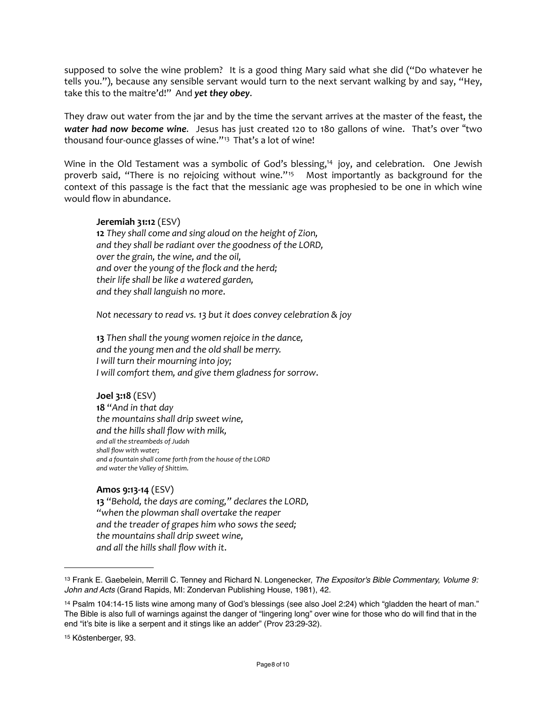supposed to solve the wine problem? It is a good thing Mary said what she did ("Do whatever he tells you."), because any sensible servant would turn to the next servant walking by and say, "Hey, take this to the maitre'd!" And yet they obey.

They draw out water from the jar and by the time the servant arrives at the master of the feast, the **water had now become wine.** Jesus has just created 120 to 180 gallons of wine. That's over "two thousand four-ounce glasses of wine."<sup>13</sup> That's a lot of wine!

Wine in the Old Testament was a symbolic of God's blessing,<sup>14</sup> joy, and celebration. One Jewish proverb said, "There is no rejoicing without wine."<sup>[15](#page-7-2)</sup> Most importantly as background for the context of this passage is the fact that the messianic age was prophesied to be one in which wine would flow in abundance.

#### **Jeremiah 31:12** (ESV)

**12** They shall come and sing aloud on the height of Zion, and they shall be radiant over the goodness of the LORD, *over the grain, the wine, and the oil,* and over the young of the flock and the herd; *their life shall be like a watered garden, and they shall languish no more*.

*Not necessary to read vs. 13 but it does convey celebration & joy* 

**13** Then shall the young women rejoice in the dance, *and the young men and the old shall be merry. I* will turn their mourning into joy; *I* will comfort them, and give them gladness for sorrow.

#### **Joel 3:18** (ESV)

**18** "*And in that day the mountains shall drip sweet wine,* and the hills shall flow with milk, *and all the streambeds of Judah* shall flow with water; and a fountain shall come forth from the house of the LORD *and water the Valley of Shittim*.

## **Amos 9:13-14** (ESV)

13 "Behold, the days are coming," declares the LORD, "when the plowman shall overtake the reaper and the treader of grapes him who sows the seed; *the mountains shall drip sweet wine, and all the hills shall flow with it*.

<span id="page-7-0"></span><sup>13</sup> Frank E. Gaebelein, Merrill C. Tenney and Richard N. Longenecker, *The Expositor's Bible Commentary, Volume 9: John and Acts* (Grand Rapids, MI: Zondervan Publishing House, 1981), 42.

<span id="page-7-1"></span><sup>14</sup> Psalm 104:14-15 lists wine among many of God's blessings (see also Joel 2:24) which "gladden the heart of man." The Bible is also full of warnings against the danger of "lingering long" over wine for those who do will find that in the end "it's bite is like a serpent and it stings like an adder" (Prov 23:29-32).

<span id="page-7-2"></span><sup>15</sup> Köstenberger, 93.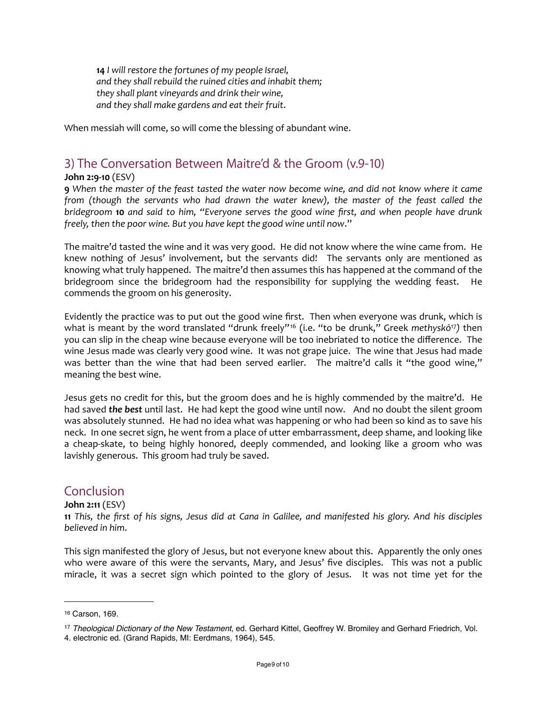14 *I* will restore the fortunes of my people Israel, and they shall rebuild the ruined cities and inhabit them; *they shall plant vineyards and drink their wine,* and they shall make gardens and eat their fruit.

When messiah will come, so will come the blessing of abundant wine.

# 3) The Conversation Between Maitre'd & the Groom (v.9-10)

## **John 2:9-10** (ESV)

**9** When the master of the feast tasted the water now become wine, and did not know where it came *from* (though the servants who had drawn the water knew), the master of the feast called the *bridegroom* **10** *and said to him, "Everyone serves the good wine first, and when people have drunk freely, then the poor wine. But you have kept the good wine until now."* 

The maitre'd tasted the wine and it was very good. He did not know where the wine came from. He knew nothing of Jesus' involvement, but the servants did! The servants only are mentioned as knowing what truly happened. The maitre'd then assumes this has happened at the command of the bridegroom since the bridegroom had the responsibility for supplying the wedding feast. He commends the groom on his generosity.

Evidently the practice was to put out the good wine first. Then when everyone was drunk, which is what is meant by the word translated "drunk freely"<sup>[16](#page-8-0)</sup> (i.e. "to be drunk," Greek methyskō<sup>[17](#page-8-1)</sup>) then you can slip in the cheap wine because everyone will be too inebriated to notice the difference. The wine Jesus made was clearly very good wine. It was not grape juice. The wine that Jesus had made was better than the wine that had been served earlier. The maitre'd calls it "the good wine," meaning the best wine.

Jesus gets no credit for this, but the groom does and he is highly commended by the maitre'd. He had saved *the best* until last. He had kept the good wine until now. And no doubt the silent groom was absolutely stunned. He had no idea what was happening or who had been so kind as to save his neck. In one secret sign, he went from a place of utter embarrassment, deep shame, and looking like a cheap-skate, to being highly honored, deeply commended, and looking like a groom who was lavishly generous. This groom had truly be saved.

## Conclusion

## **John 2:11** (ESV)

**11** This, the first of his signs, Jesus did at Cana in Galilee, and manifested his glory. And his disciples *believed in him*.

This sign manifested the glory of Jesus, but not everyone knew about this. Apparently the only ones who were aware of this were the servants, Mary, and Jesus' five disciples. This was not a public miracle, it was a secret sign which pointed to the glory of Jesus. It was not time yet for the

<span id="page-8-0"></span><sup>16</sup> Carson, 169.

<span id="page-8-1"></span><sup>17</sup> *Theological Dictionary of the New Testament*, ed. Gerhard Kittel, Geoffrey W. Bromiley and Gerhard Friedrich, Vol. 4. electronic ed. (Grand Rapids, MI: Eerdmans, 1964), 545.